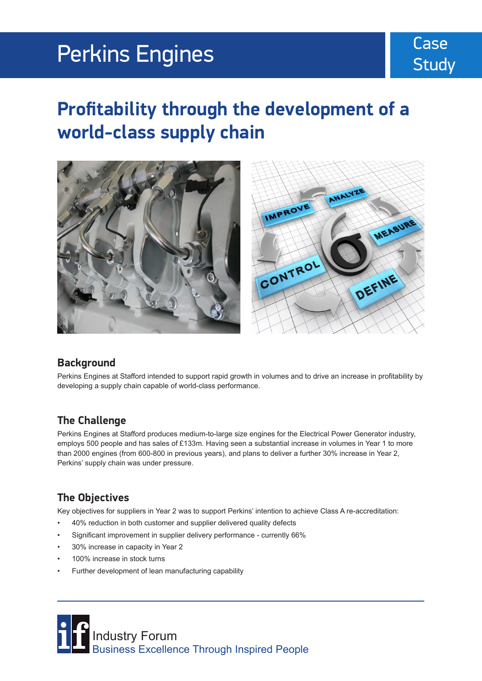# Perkins Engines

### Case **Study**

## **Profitability through the development of a world-class supply chain**



#### **Background**

Perkins Engines at Stafford intended to support rapid growth in volumes and to drive an increase in profitability by developing a supply chain capable of world-class performance.

#### **The Challenge**

Perkins Engines at Stafford produces medium-to-large size engines for the Electrical Power Generator industry, employs 500 people and has sales of £133m. Having seen a substantial increase in volumes in Year 1 to more than 2000 engines (from 600-800 in previous years), and plans to deliver a further 30% increase in Year 2, Perkins' supply chain was under pressure.

#### **The Objectives**

Key objectives for suppliers in Year 2 was to support Perkins' intention to achieve Class A re-accreditation:

- 40% reduction in both customer and supplier delivered quality defects
- Significant improvement in supplier delivery performance currently 66%
- 30% increase in capacity in Year 2
- 100% increase in stock turns
- Further development of lean manufacturing capability